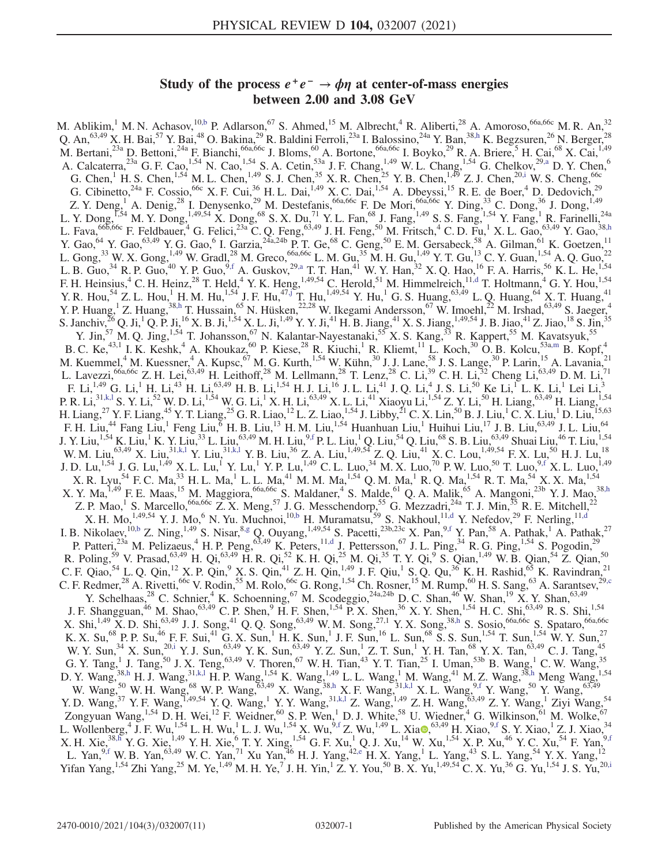# Study of the process  $e^+e^- \rightarrow \phi \eta$  at center-of-mass energies between 2.00 and 3.08 GeV

<span id="page-0-9"></span><span id="page-0-8"></span><span id="page-0-7"></span><span id="page-0-6"></span><span id="page-0-5"></span><span id="page-0-4"></span><span id="page-0-3"></span><span id="page-0-2"></span><span id="page-0-1"></span><span id="page-0-0"></span>M. Ablikim,<sup>1</sup> M. N. Achasov,<sup>1[0,b](#page-2-0)</sup> P. Adlarson,<sup>67</sup> S. Ahmed,<sup>15</sup> M. Albrecht,<sup>4</sup> R. Aliberti,<sup>28</sup> A. Amoroso,<sup>66a,66c</sup> M. R. An,<sup>32</sup> Q. An,  $63,49$  X. H. Bai,  $57$  Y. Bai,  $48$  O. Bakina,  $29$  R. Baldini Ferroli,  $23a$  I. Balossino,  $24a$  Y. Ban,  $38,h$  $38,h$  K. Begzsuren,  $26$  N. Berger,  $28$ M. Bertani,<sup>23a</sup> D. Bettoni,<sup>24a</sup> F. Bianchi,<sup>66a,66c</sup> J. Bloms,<sup>60</sup> A. Bortone,<sup>66a,66c</sup> I. Boyko,<sup>29</sup> R. A. Briere,<sup>5</sup> H. Cai,<sup>68</sup> X. Cai,<sup>1,49</sup> A. Calcaterra,  $^{23a}$  G. F. Cao,  $^{1,54}$  N. Cao,  $^{1,54}$  S. A. Cetin,  $^{53a}$  J. F. Chang,  $^{1,49}$  W. L. Chang,  $^{1,54}$  G. Chelkov,  $^{29,a}$  $^{29,a}$  $^{29,a}$  D. Y. Chen,  $^{6}$ G. Chen, <sup>1</sup> H. S. Chen, <sup>1,54</sup> M. L. Chen, <sup>1,49</sup> S. J. Chen, <sup>35</sup> X. R. Chen, <sup>25</sup> Y. B. Chen, <sup>1,49</sup> Z. J. Chen, <sup>20[,i](#page-2-3)</sup> W. S. Cheng, <sup>66c</sup> G. Cibinetto,<sup>24a</sup> F. Cossio,<sup>66c</sup> X. F. Cui,<sup>36</sup> H. L. Dai,<sup>1,49</sup> X. C. Dai,<sup>1,54</sup> A. Dbeyssi,<sup>15</sup> R. E. de Boer,<sup>4</sup> D. Dedovich,<sup>29</sup> Z. Y. Deng,<sup>1</sup> A. Denig,<sup>28</sup> I. Denysenko,<sup>29</sup> M. Destefanis,<sup>66a,66c</sup> F. De Mori,<sup>66a,66c</sup> Y. Ding,<sup>33</sup> C. Dong,<sup>36</sup> J. Dong,<sup>1,49</sup> L. Y. Dong,<sup>1,54</sup> M. Y. Dong,<sup>1,49,54</sup> X. Dong,<sup>68</sup> S. X. Du,<sup>71</sup> Y. L. Fan,<sup>68</sup> J. Fang,<sup>1,49</sup> S. S. Fang,<sup>1,54</sup> Y. Fang,<sup>1</sup> R. Farinelli,<sup>24a</sup> L. Fava,  $665,66c$  F. Feldbauer, <sup>4</sup> G. Felici,  $^{23a}$  C. Q. Feng,  $^{63,49}$  J. H. Feng,  $^{50}$  M. Fritsch,  $^{4}$  C. D. Fu,  $^{1}$  X. L. Gao,  $^{63,49}$  Y. Gao,  $^{38,h}$  $^{38,h}$  $^{38,h}$ Y. Gao,  $^{64}$  Y. Gao,  $^{63,49}$  Y. G. Gao, <sup>6</sup> I. Garzia,  $^{24a,24b}$  P. T. Ge,  $^{68}$  C. Geng,  $^{50}$  E. M. Gersabeck,  $^{58}$  A. Gilman,  $^{61}$  K. Goetzen,  $^{11}$ L. Gong,<sup>33</sup> W. X. Gong,<sup>1,49</sup> W. Gradl,<sup>28</sup> M. Greco,<sup>66a,66c</sup> L. M. Gu,<sup>35</sup> M. H. Gu,<sup>1,49</sup> Y. T. Gu,<sup>13</sup> C. Y. Guan,<sup>1,54</sup> A. Q. Guo,<sup>22</sup> L. B. Guo,<sup>34</sup> R. P. Guo,<sup>40</sup> Y. P. Guo,<sup>[9,f](#page-2-4)</sup> A. Guskov,<sup>29[,a](#page-2-2)</sup> T. T. Han,<sup>41</sup> W. Y. Han,<sup>32</sup> X. Q. Hao,<sup>16</sup> F. A. Harris,<sup>56</sup> K. L. He,<sup>1,54</sup> F. H. Heinsius,<sup>4</sup> C. H. Heinz,<sup>28</sup> T. Held,<sup>4</sup> Y. K. Heng,<sup>1,49,54</sup> C. Herold,<sup>51</sup> M. Himmelreich,<sup>11[,d](#page-2-5)</sup> T. Holtmann,<sup>4</sup> G. Y. Hou,<sup>1,54</sup> Y. R. Hou,<sup>54</sup> Z. L. Hou,<sup>1</sup> H. M. Hu,<sup>1,54</sup> J. F. Hu,<sup>47[,j](#page-2-6)</sup> T. Hu,<sup>1,49,54</sup> Y. Hu,<sup>1</sup> G. S. Huang,<sup>63,49</sup> L. Q. Huang,<sup>64</sup> X. T. Huang,<sup>41</sup> Y. P. Huang,<sup>1</sup> Z. Huang,<sup>3[8,h](#page-2-1)</sup> T. Hussain,<sup>65</sup> N. Hüsken,<sup>22,28</sup> W. Ikegami Andersson,<sup>67</sup> W. Imoehl,<sup>22</sup> M. Irshad,<sup>63,49</sup> S. Jaeger,<sup>4</sup> S. Janchiv,  $^{26}$  Q. Ji,  $^{1}$  Q. P. Ji,  $^{16}$  X. B. Ji,  $^{1,54}$  X. L. Ji,  $^{1,49}$  Y. Y. Ji,  $^{41}$  H. B. Jiang,  $^{41}$  X. S. Jiang,  $^{1,49,54}$  J. B. Jiao,  $^{41}$  Z. Jiao,  $^{18}$  S. Jin,  $^{35}$ Y. Jin,<sup>57</sup> M. Q. Jing,<sup>1,54</sup> T. Johansson,<sup>67</sup> N. Kalantar-Nayestanaki,<sup>55</sup> X. S. Kang,<sup>33</sup> R. Kappert,<sup>55</sup> M. Kavatsyuk,<sup>55</sup> B. C. Ke,<sup>43,1</sup> I. K. Keshk,<sup>4</sup> A. Khoukaz,<sup>60</sup> P. Kiese,<sup>28</sup> R. Kiuchi,<sup>1</sup> R. Kliemt,<sup>11</sup> L. Koch,<sup>30</sup> O. B. Kolcu,<sup>53a[,m](#page-2-7)</sup> B. Kopf,<sup>4</sup> M. Kuemmel,<sup>4</sup> M. Kuessner,<sup>4</sup> A. Kupsc,<sup>67</sup> M. G. Kurth,<sup>1,54</sup> W. Kühn,<sup>30</sup> J. J. Lane,<sup>58</sup> J. S. Lange,<sup>30</sup> P. Larin,<sup>15</sup> A. Lavania,<sup>21</sup> L. Lavezzi,<sup>66a,66c</sup> Z. H. Lei,<sup>63,49</sup> H. Leithoff,<sup>28</sup> M. Lellmann,<sup>28</sup> T. Lenz,<sup>28</sup> C. Li,<sup>39</sup> C. H. Li,<sup>32</sup> Cheng Li,<sup>63,49</sup> D. M. Li,<sup>71</sup> F. Li, $^{1,49}$  G. Li, $^{1}$  H. Li, $^{43}$  H. Li, $^{63,49}$  H. B. Li, $^{1,54}$  H. J. Li, $^{16}$  J. L. Li, $^{41}$  J. Q. Li, $^{4}$  J. S. Li, $^{50}$  Ke Li, $^{1}$  L. K. Li, $^{1}$  Lei Li, $^{3}$ P. R. Li,<sup>31[,k,l](#page-2-8)</sup> S. Y. Li,<sup>52</sup> W. D. Li,<sup>1,54</sup> W. G. Li,<sup>1</sup> X. H. Li,<sup>63,49</sup> X. L. Li,<sup>41</sup> Xiaoyu Li,<sup>1,54</sup> Z. Y. Li,<sup>50</sup> H. Liang,<sup>63,49</sup> H. Liang,<sup>1,54</sup> H. Liang,<sup>27</sup> Y. F. Liang,<sup>45</sup> Y. T. Liang,<sup>25</sup> G. R. Liao,<sup>12</sup> L. Z. Liao,<sup>1,54</sup> J. Libby,<sup>21</sup> C. X. Lin,<sup>50</sup> B. J. Liu,<sup>1</sup> C. X. Liu,<sup>1</sup> D. Liu,<sup>15,63</sup> F. H. Liu,<sup>44</sup> Fang Liu,<sup>1</sup> Feng Liu,<sup>6</sup> H. B. Liu,<sup>13</sup> H. M. Liu,<sup>1,54</sup> Huanhuan Liu,<sup>1</sup> Huihui Liu,<sup>17</sup> J. B. Liu,<sup>63,49</sup> J. L. Liu,<sup>64</sup> J. Y. Liu,<sup>1,54</sup> K. Liu,<sup>1</sup> K. Y. Liu,<sup>33</sup> L. Liu,<sup>63,49</sup> M. H. Liu,<sup>9[,f](#page-2-4)</sup> P. L. Liu,<sup>1</sup> Q. Liu,<sup>54</sup> Q. Liu,<sup>68</sup> S. B. Liu,<sup>63,49</sup> Shuai Liu,<sup>46</sup> T. Liu,<sup>1,54</sup> W. M. Liu,<sup>63,49</sup> X. Liu,<sup>31[,k,l](#page-2-8)</sup> Y. Liu,<sup>3[1,k,l](#page-2-8)</sup> Y. B. Liu,<sup>36</sup> Z. A. Liu,<sup>1,49,54</sup> Z. Q. Liu,<sup>41</sup> X. C. Lou,<sup>1,49,54</sup> F. X. Lu,<sup>50</sup> H. J. Lu,<sup>18</sup> J. D. Lu,<sup>1,54</sup> J. G. Lu,<sup>1,49</sup> X. L. Lu,<sup>1</sup> Y. Lu,<sup>1</sup> Y. P. Lu,<sup>1,49</sup> C. L. Luo,<sup>34</sup> M. X. Luo,<sup>70</sup> P. W. Luo,<sup>50</sup> T. Luo,<sup>9[,f](#page-2-4)</sup> X. L. Luo,<sup>1,49</sup>  $X$ . R. Lyu, $^{54}$  F. C. Ma, $^{33}$  H. L. Ma, $^{1}$  L. L. Ma, $^{41}$  M. M. Ma, $^{1,54}$  Q. M. Ma, $^{1}$  R. Q. Ma, $^{1,54}$  R. T. Ma, $^{54}$  X. X. Ma, $^{1,54}$ X. Y. Ma, <sup>1,49</sup> F. E. Maas, <sup>15</sup> M. Maggiora, <sup>66a, 66c</sup> S. Maldaner, <sup>4</sup> S. Malde, <sup>61</sup> Q. A. Malik, <sup>65</sup> A. Mangoni, <sup>23b</sup> Y. J. Mao, <sup>3[8,h](#page-2-1)</sup> Z. P. Mao,<sup>1</sup> S. Marcello,<sup>66a,66c</sup> Z. X. Meng,<sup>57</sup> J. G. Messchendorp,<sup>55</sup> G. Mezzadri,<sup>24a</sup> T. J. Min,<sup>35</sup> R. E. Mitchell,<sup>22</sup> X. H. Mo,  $^{1,49,54}$  Y. J. Mo,  $^{6}$  N. Yu. Muchnoi,  $^{10,b}$  $^{10,b}$  $^{10,b}$  H. Muramatsu,  $^{59}$  S. Nakhoul,  $^{11,d}$  $^{11,d}$  $^{11,d}$  Y. Nefedov,  $^{29}$  F. Nerling,  $^{11,d}$  $^{11,d}$  $^{11,d}$ I. B. Nikolaev,  $^{10,b}$  $^{10,b}$  $^{10,b}$  Z. Ning,  $^{1,49}$  S. Nisar,  $^{8,g}$  $^{8,g}$  $^{8,g}$  Q. Ouyang,  $^{1,49,54}$  S. Pacetti,  $^{23b,23c}$  X. Pan,  $^{9,f}$  $^{9,f}$  $^{9,f}$  Y. Pan,  $^{58}$  A. Pathak,  $^{1}$  A. Pathak,  $^{27}$ P. Patteri,<sup>23a</sup> M. Pelizaeus,<sup>4</sup> H. P. Peng,<sup>63,49</sup> K. Peters,<sup>1[1,d](#page-2-5)</sup> J. Pettersson,<sup>67</sup> J. L. Ping,<sup>34</sup> R. G. Ping,<sup>1,54</sup> S. Pogodin,<sup>29</sup> R. Poling,<sup>59</sup> V. Prasad,<sup>63,49</sup> H. Qi,<sup>63,49</sup> H. R. Qi,<sup>52</sup> K. H. Qi,<sup>25</sup> M. Qi,<sup>35</sup> T. Y. Qi,<sup>9</sup> S. Qian,<sup>1,49</sup> W. B. Qian,<sup>54</sup> Z. Qian,<sup>50</sup> C. F. Qiao,<sup>54</sup> L. Q. Qin,<sup>12</sup> X. P. Qin,<sup>9</sup> X. S. Qin,<sup>41</sup> Z. H. Qin,<sup>1,49</sup> J. F. Qiu,<sup>1</sup> S. Q. Qu,<sup>36</sup> K. H. Rashid,<sup>65</sup> K. Ravindran,<sup>21</sup> C. F. Redmer,  $^{28}$  A. Rivetti,  $^{66c}$  V. Rodin,  $^{55}$  M. Rolo,  $^{66c}$  G. Rong,  $^{1,54}$  Ch. Rosner,  $^{15}$  M. Rump,  $^{60}$  H. S. Sang,  $^{63}$  A. Sarantsev,  $^{29, c}$ Y. Schelhaas,<sup>28</sup> C. Schnier,<sup>4</sup> K. Schoenning,<sup>67</sup> M. Scodeggio,<sup>24a,24b</sup> D. C. Shan,<sup>46</sup> W. Shan,<sup>19</sup> X. Y. Shan,<sup>63,49</sup> J. F. Shangguan,<sup>46</sup> M. Shao,<sup>63,49</sup> C. P. Shen,<sup>9</sup> H. F. Shen,<sup>1,54</sup> P. X. Shen,<sup>36</sup> X. Y. Shen,<sup>1,54</sup> H. C. Shi,<sup>63,49</sup> R. S. Shi,<sup>1,54</sup> X. Shi,<sup>1,49</sup> X. D. Shi,<sup>63,49</sup> J. J. Song,<sup>41</sup> Q. Q. Song,<sup>63,49</sup> W. M. Song,<sup>27,1</sup> Y. X. Song,<sup>3[8,h](#page-2-1)</sup> S. Sosio,<sup>66a,66c</sup> S. Spataro,<sup>66a,66c</sup> K. X. Su,<sup>68</sup> P. P. Su,<sup>46</sup> F. F. Sui,<sup>41</sup> G. X. Sun,<sup>1</sup> H. K. Sun,<sup>1</sup> J. F. Sun,<sup>16</sup> L. Sun,<sup>68</sup> S. S. Sun,<sup>1,54</sup> T. Sun,<sup>1,54</sup> W. Y. Sun,<sup>27</sup> W. Y. Sun,<sup>34</sup> X. Sun,<sup>2[0,i](#page-2-3)</sup> Y. J. Sun,<sup>63,49</sup> Y. K. Sun,<sup>63,49</sup> Y. Z. Sun,<sup>1</sup> Z. T. Sun,<sup>1</sup> Y. H. Tan,<sup>68</sup> Y. X. Tan,<sup>63,49</sup> C. J. Tang,<sup>45</sup> G. Y. Tang,<sup>1</sup> J. Tang,<sup>50</sup> J. X. Teng,<sup>63,49</sup> V. Thoren,<sup>67</sup> W. H. Tian,<sup>43</sup> Y. T. Tian,<sup>25</sup> I. Uman,<sup>53b</sup> B. Wang,<sup>1</sup> C. W. Wang,<sup>35</sup> D. Y. Wang,<sup>3[8,h](#page-2-1)</sup> H. J. Wang,<sup>3[1,k,l](#page-2-8)</sup> H. P. Wang,<sup>1,54</sup> K. Wang,<sup>1,49</sup> L. L. Wang,<sup>1</sup> M. Wang,<sup>41</sup> M. Z. Wang,<sup>38,h</sup> Meng Wang,<sup>1,54</sup> W. Wang,<sup>50</sup> W. H. Wang,<sup>68</sup> W. P. Wang,<sup>63,49</sup> X. Wang,<sup>3[8,h](#page-2-1)</sup> X. F. Wang,<sup>31[,k,l](#page-2-8)</sup> X. L. Wang,<sup>9[,f](#page-2-4)</sup> Y. Wang,<sup>50</sup> Y. Wang,<sup>63,49</sup> Y. D. Wang, <sup>37</sup> Y. F. Wang, <sup>1,49,54</sup> Y. Q. Wang, <sup>1</sup> Y. Y. Wang, <sup>31,k,1</sup> Z. Wang, <sup>1,49</sup> Z. H. Wang, <sup>63,49</sup> Z. Y. Wang, <sup>1</sup> Ziyi Wang, <sup>54</sup> Zongyuan Wang,<sup>1,54</sup> D. H. Wei,<sup>12</sup> F. Weidner,<sup>60</sup> S. P. Wen,<sup>1</sup> D. J. White,<sup>58</sup> U. Wiedner,<sup>4</sup> G. Wilkinson, <sup>61</sup> M. Wolke, <sup>67</sup> L. Wollenberg,  $^{4}$  J. F. Wu,<sup>1,54</sup> L. H. Wu,<sup>1</sup> L. J. Wu,<sup>1,54</sup> X. Wu,<sup>9[,f](#page-2-4)</sup> Z. Wu,<sup>1,49</sup> L. Xia $\bullet$ ,<sup>63,49</sup> H. Xiao,<sup>[9,f](#page-2-4)</sup> S. Y. Xiao,<sup>1</sup> Z. J. Xiao,<sup>34</sup> X. H. Xie,<sup>38[,h](#page-2-1)</sup> Y. G. Xie,<sup>1,49</sup> Y. H. Xie,<sup>6</sup> T. Y. Xing,<sup>1,54</sup> G. F. Xu,<sup>1</sup> Q. J. Xu,<sup>14</sup> W. Xu,<sup>1,54</sup> X. P. Xu,<sup>46</sup> Y. C. Xu,<sup>54</sup> F. Yan,<sup>9[,f](#page-2-4)</sup> L. Yan, <sup>[9,f](#page-2-4)</sup> W. B. Yan, <sup>63,49</sup> W. C. Yan, <sup>71</sup> Xu Yan, <sup>46</sup> H. J. Yang, <sup>42[,e](#page-2-11)</sup> H. X. Yang, <sup>1</sup> L. Yang, <sup>43</sup> S. L. Yang, <sup>54</sup> Y. X. Yang, <sup>12</sup> Yifan Yang,<sup>1,54</sup> Zhi Yang,<sup>25</sup> M. Ye,<sup>1,49</sup> M. H. Ye,<sup>7</sup> J. H. Yin,<sup>1</sup> Z. Y. You,<sup>50</sup> B. X. Yu,<sup>1,49,54</sup> C. X. Yu,<sup>36</sup> G. Yu,<sup>1,54</sup> J. S. Yu,<sup>2[0,i](#page-2-3)</sup>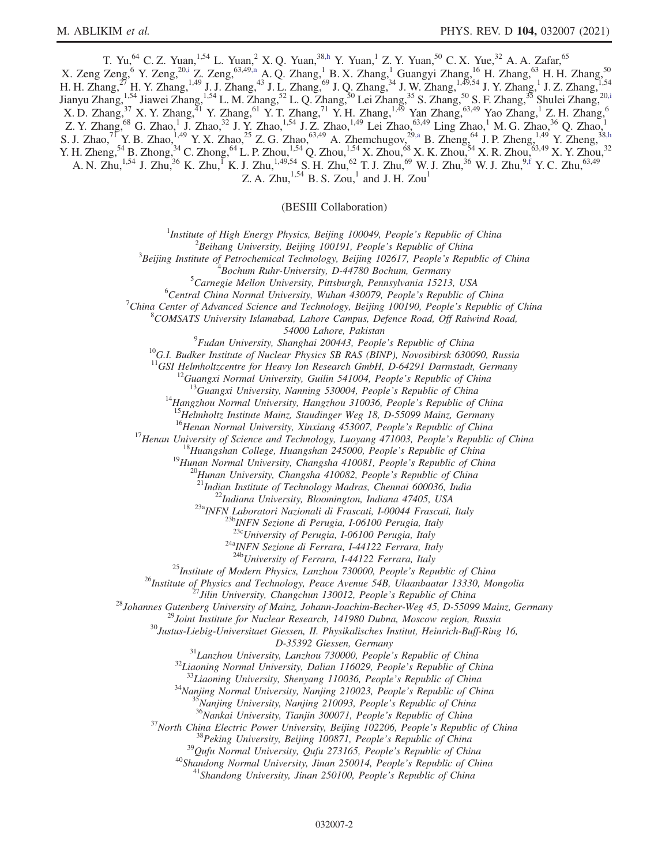<span id="page-1-0"></span>T. Yu,<sup>64</sup> C. Z. Yuan,<sup>1,54</sup> L. Yuan,<sup>2</sup> X. Q. Yuan,<sup>3[8,h](#page-2-1)</sup> Y. Yuan,<sup>1</sup> Z. Y. Yuan,<sup>50</sup> C. X. Yue,<sup>32</sup> A. A. Zafar,<sup>65</sup> X. Zeng Zeng, <sup>6</sup> Y. Zeng, <sup>2[0,i](#page-2-3)</sup> Z. Zeng, <sup>63,4[9,n](#page-2-12)</sup> A. Q. Zhang, <sup>1</sup> B. X. Zhang, <sup>1</sup> Guangyi Zhang, <sup>16</sup> H. Zhang, <sup>63</sup> H. H. Zhang, <sup>50</sup> H. H. Zhang,<sup>27</sup> H. Y. Zhang,<sup>1,49</sup> J. J. Zhang,<sup>43</sup> J. L. Zhang,<sup>69</sup> J. Q. Zhang,<sup>34</sup> J. W. Zhang,<sup>1,49,54</sup> J. Y. Zhang,<sup>1</sup> J. Z. Zhang,<sup>1,54</sup> Jianyu Zhang,<sup>1,54</sup> Jiawei Zhang,<sup>1,54</sup> L. M. Zhang,<sup>52</sup> L. Q. Zhang,<sup>50</sup> Lei Zhang,<sup>35</sup> S. Zhang,<sup>50</sup> S. F. Zhang,<sup>35</sup> Shulei Zhang,<sup>20,1</sup>  $X.$  D. Zhang, $37$  X. Y. Zhang, $41$  Y. Zhang, $61$  Y. T. Zhang, $71$  Y. H. Zhang, $1,49$  Yan Zhang, $63,49$  Yao Zhang, $1$  Z. H. Zhang, Z. Y. Zhang,<sup>68</sup> G. Zhao,<sup>1</sup> J. Zhao,<sup>32</sup> J. Y. Zhao,<sup>1,54</sup> J. Z. Zhao,<sup>1,49</sup> Lei Zhao,<sup>63,49</sup> Ling Zhao,<sup>1</sup> M. G. Zhao,<sup>36</sup> Q. Zhao,<sup>1</sup> S. J. Zhao,<sup>71</sup> Y. B. Zhao,<sup>1,49</sup> Y. X. Zhao,<sup>25</sup> Z. G. Zhao,<sup>63,49</sup> A. Zhemchugov,<sup>29[,a](#page-2-2)</sup> B. Zheng,<sup>64</sup> J. P. Zheng,<sup>1,49</sup> Y. Zheng,<sup>38[,h](#page-2-1)</sup> Y. H. Zheng, <sup>54</sup> B. Zhong, <sup>34</sup> C. Zhong, <sup>64</sup> L. P. Zhou, <sup>1,54</sup> Q. Zhou, <sup>1,54</sup> X. Zhou, <sup>68</sup> X. K. Zhou, <sup>54</sup> X. R. Zhou, <sup>63,49</sup> X. Y. Zhou,<sup>32</sup> A. N. Zhu,<sup>1,54</sup> J. Zhu,<sup>36</sup> K. Zhu,<sup>1</sup> K. J. Zhu,<sup>1,49,54</sup> S. H. Zhu,<sup>62</sup> T. J. Zhu,<sup>69</sup> W. J. Zhu,<sup>36</sup> W. J. Zhu,<sup>[9,f](#page-2-4)</sup> Y. C. Zhu,<sup>63,49</sup> Z. A. Zhu, $^{1,54}$  B. S. Zou,<sup>1</sup> and J. H. Zou<sup>1</sup>

(BESIII Collaboration)

<sup>1</sup>Institute of High Energy Physics, Beijing 100049, People's Republic of China  $\frac{2 \text{Poibana}}{2}$ 

 $^2$ Beihang University, Beijing 100191, People's Republic of China

 $3B$ eijing Institute of Petrochemical Technology, Beijing 102617, People's Republic of China

 $^{4}$ Bochum Ruhr-University, D-44780 Bochum, Germany

 ${}^{5}$ Carnegie Mellon University, Pittsburgh, Pennsylvania 15213, USA

 ${}^{6}$ Central China Normal University, Wuhan 430079, People's Republic of China

<sup>7</sup>China Center of Advanced Science and Technology, Beijing 100190, People's Republic of China

 $8$ COMSATS University Islamabad, Lahore Campus, Defence Road, Off Raiwind Road,

54000 Lahore, Pakistan<br><sup>9</sup>Fudan University, Shanghai 200443, People's Republic of China

<sup>10</sup>G.I. Budker Institute of Nuclear Physics SB RAS (BINP), Novosibirsk 630090, Russia <sup>11</sup>GSI Helmholtzcentre for Heavy Ion Research GmbH, D-64291 Darmstadt, Germany

<sup>12</sup>Guangxi Normal University, Guilin 541004, People's Republic of China<br><sup>13</sup>Guangxi University, Nanning 530004, People's Republic of China<br><sup>14</sup>Hangzhou Normal University, Hangzhou 310036, People's Republic of China<br><sup>15</sup>H

<sup>17</sup>Henan University of Science and Technology, Luoyang 471003, People's Republic of China<br><sup>18</sup>Huangshan College, Huangshan 245000, People's Republic of China<br><sup>19</sup>Hunan Normal University, Changsha 410081, People's Republi

<sup>23c</sup>University of Perugia, I-06100 Perugia, Italy<br><sup>24a</sup>INFN Sezione di Ferrara, I-44122 Ferrara, Italy<br><sup>24b</sup>University of Ferrara, I-44122 Ferrara, Italy

<sup>25</sup>Institute of Modern Physics, Lanzhou 730000, People's Republic of China<br><sup>26</sup>Institute of Physics and Technology, Peace Avenue 54B, Ulaanbaatar 13330, Mongolia<br><sup>27</sup>Jilin University, Changchun 130012, People's Republic

D-35392 Giessen, Germany<br>
<sup>31</sup>Lanzhou University, Lanzhou 730000, People's Republic of China<br>
<sup>32</sup>Liaoning Normal University, Dalian 116029, People's Republic of China<br>
<sup>33</sup>Liaoning University, Shenyang 110036, People's Re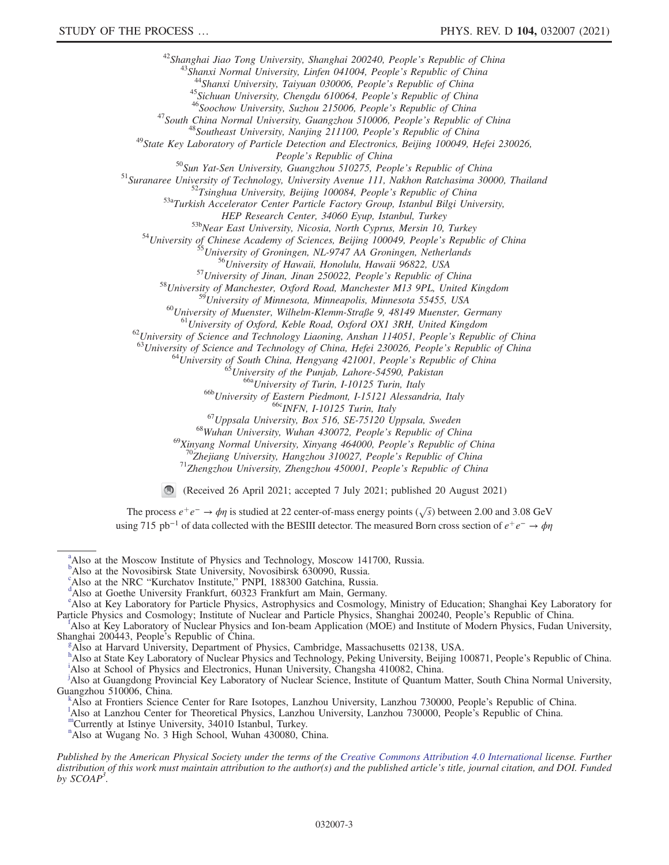<sup>42</sup>Shanghai Jiao Tong University, Shanghai 200240, People's Republic of China<br><sup>43</sup>Shanxi Normal University, Linfen 041004, People's Republic of China<br><sup>44</sup>Shanxi University, Taiyuan 030006, People's Republic of China<br><sup>45</sup> People's Republic of China<br><sup>50</sup>Sun Yat-Sen University, Guangzhou 510275, People's Republic of China<br><sup>51</sup>Suranaree University of Technology, University Avenue 111, Nakhon Ratchasima 30000, Thailand<br><sup>52</sup>Tsinghua University,  $^{535}$ Near East University, Nicosia, North Cyprus, Mersin 10, Turkey<br>  $^{54}$ University of Chinese Academy of Sciences, Beijing 100049, People's Republic of China<br>  $^{55}$ University of Groningen, NL-9747 AA Groningen, Neth <sup>59</sup>University of Minnesota, Minneapolis, Minnesota 55455, USA<br>
<sup>60</sup>University of Muenster, Wilhelm-Klemm-Straße 9, 48149 Muenster, Germany<br>
<sup>61</sup>University of Oxford, Keble Road, Oxford OX1 3RH, United Kingdom<br>
<sup>62</sup>Univer <sup>69</sup>Xinyang Normal University, Wuhan 430072, People's Republic of China<br><sup>69</sup>Xinyang Normal University, Xinyang 464000, People's Republic of China<br><sup>70</sup>Zhejiang University, Hangzhou 310027, People's Republic of China<br><sup>71</sup>Zh

(Received 26 April 2021; accepted 7 July 2021; published 20 August 2021)

The process  $e^+e^- \to \phi \eta$  is studied at 22 center-of-mass energy points ( $\sqrt{s}$ ) between 2.00 and 3.08 GeV using 715 pb<sup>-1</sup> of data collected with the BESIII detector. The measured Born cross section of  $e^+e^- \rightarrow \phi\eta$ 

<span id="page-2-10"></span><sup>[c](#page-0-2)</sup>Also at the NRC "Kurchatov Institute," PNPI, 188300 Gatchina, Russia.<br><sup>[d](#page-0-3)</sup>Also at Goethe University Frankfurt, 60323 Frankfurt am Main, Germany.

<span id="page-2-2"></span><sup>&</sup>lt;sup>[a](#page-0-0)</sup>Also at the Moscow Institute of Physics and Technology, Moscow 141700, Russia.

<span id="page-2-0"></span><sup>&</sup>lt;sup>[b](#page-0-1)</sup>Also at the Novosibirsk State University, Novosibirsk 630090, Russia.

<span id="page-2-11"></span><span id="page-2-5"></span><sup>&</sup>lt;sup>[e](#page-0-4)</sup>Also at Key Laboratory for Particle Physics, Astrophysics and Cosmology, Ministry of Education; Shanghai Key Laboratory for Particle Physics and Cosmology; Institute o[f](#page-0-4) Nuclear and Particle Physics, Shanghai 200240, People's Republic of China.

<span id="page-2-4"></span>Also at Key Laboratory of Nuclear Physics and Ion-beam Application (MOE) and Institute of Modern Physics, Fudan University, Shan[g](#page-0-1)hai 200443, People's Republic of China.

<span id="page-2-9"></span>Also at Harvard University, Department of Physics, Cambridge, Massachusetts 02138, USA.

<span id="page-2-3"></span><span id="page-2-1"></span>[h](#page-0-5) Also at State Key Laboratory of Nuclear Phys[i](#page-0-6)cs and Technology, Peking University, Beijing 100871, People's Republic of China. Also at School of Physics and Electronics, Hunan University, Changsha 410082, China.

<span id="page-2-6"></span><sup>&</sup>lt;sup>[j](#page-0-7)</sup>Also at Guangdong Provincial Key Laboratory of Nuclear Science, Institute of Quantum Matter, South China Normal University, Guangzhou 510006, China. [k](#page-0-8)

<span id="page-2-8"></span>Also at Frontiers Science Center for Rare Isotopes, Lanzhou University, Lanzhou 730000, People's Republic of China. <sup>l</sup>

<sup>&</sup>lt;sup>1</sup>Also at Lanzhou Center for Theoretical Physics, Lanzhou University, Lanzhou 730000, People's Republic of China. <sup>[m](#page-0-9)</sup>Currently at Istinye University, 34010 Istanbul, Turkey.

<span id="page-2-7"></span>

<span id="page-2-12"></span><sup>&</sup>lt;sup>[n](#page-1-0)</sup>Also at Wugang No. 3 High School, Wuhan 430080, China.

Published by the American Physical Society under the terms of the [Creative Commons Attribution 4.0 International](https://creativecommons.org/licenses/by/4.0/) license. Further distribution of this work must maintain attribution to the author(s) and the published article's title, journal citation, and DOI. Funded by  $SCOAP<sup>3</sup>$ .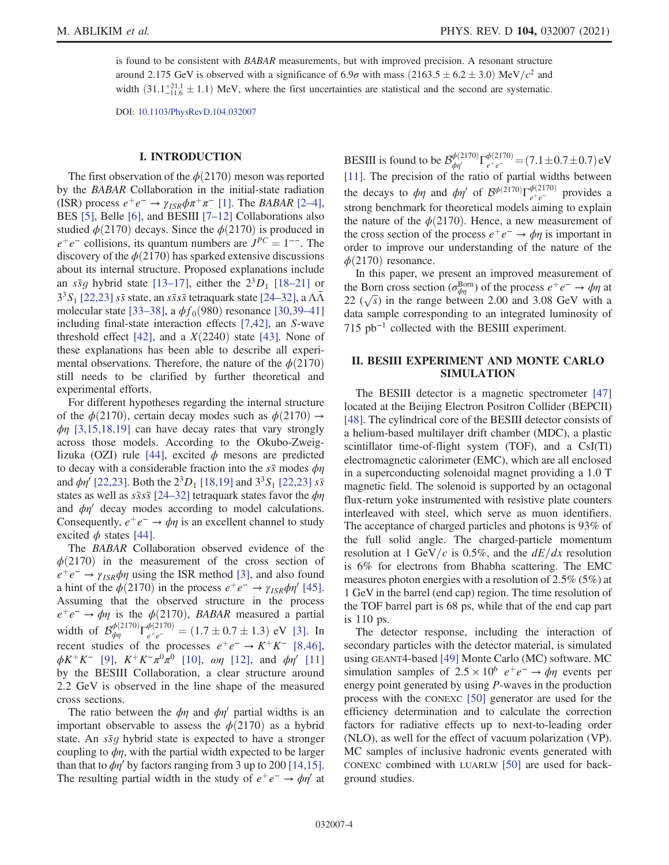is found to be consistent with BABAR measurements, but with improved precision. A resonant structure around 2.175 GeV is observed with a significance of  $6.9\sigma$  with mass  $(2163.5 \pm 6.2 \pm 3.0)$  MeV/ $c^2$  and<br>width  $(21.1 \pm 2.1)$ ,  $1.1$ ). MeV, where the first vecessizities are statistical and the accord are systematic width  $(31.1^{+21.1}_{-11.6} \pm 1.1)$  MeV, where the first uncertainties are statistical and the second are systematic.

DOI: [10.1103/PhysRevD.104.032007](https://doi.org/10.1103/PhysRevD.104.032007)

## I. INTRODUCTION

The first observation of the  $\phi(2170)$  meson was reported by the BABAR Collaboration in the initial-state radiation (ISR) process  $e^+e^- \rightarrow \gamma_{ISR}\phi \pi^+\pi^-$  [\[1\].](#page-9-0) The *BABAR* [\[2](#page-9-1)–4], BES [\[5\]](#page-10-0), Belle [\[6\],](#page-10-1) and BESIII [7-[12\]](#page-10-2) Collaborations also studied  $\phi(2170)$  decays. Since the  $\phi(2170)$  is produced in  $e^+e^-$  collisions, its quantum numbers are  $J^{PC} = 1^{--}$ . The discovery of the  $\phi(2170)$  has sparked extensive discussions about its internal structure. Proposed explanations include an  $s\bar{s}g$  hybrid state [13–[17\],](#page-10-3) either the  $2^{3}D_{1}$  [18–[21\]](#page-10-4) or  $3<sup>3</sup>S<sub>1</sub>$  [\[22,23\]](#page-10-5)  $s\bar{s}$  state, an  $s\bar{s}s\bar{s}$  tetraquark state [\[24](#page-10-6)–32], a  $\Lambda\bar{\Lambda}$ molecular state [33–[38\],](#page-10-7) a  $\phi f_0(980)$  resonance [\[30,39](#page-10-8)–41] including final-state interaction effects [\[7,42\]](#page-10-2), an S-wave threshold effect [\[42\]](#page-10-9), and a  $X(2240)$  state [\[43\].](#page-10-10) None of these explanations has been able to describe all experimental observations. Therefore, the nature of the  $\phi(2170)$ still needs to be clarified by further theoretical and experimental efforts.

For different hypotheses regarding the internal structure of the  $\phi(2170)$ , certain decay modes such as  $\phi(2170) \rightarrow$  $\phi$ η [\[3,15,18,19\]](#page-9-2) can have decay rates that vary strongly across those models. According to the Okubo-Zweig-Iizuka (OZI) rule [\[44\]](#page-10-11), excited  $\phi$  mesons are predicted to decay with a considerable fraction into the  $s\bar{s}$  modes  $\phi\eta$ and  $\phi \eta'$  [\[22,23\]](#page-10-5). Both the  $2^{3}D_{1}$  [\[18,19\]](#page-10-4) and  $3^{3}S_{1}$  [22,23]  $s\bar{s}$ states as well as  $s\bar{s}s\bar{s}$  [24–[32\]](#page-10-6) tetraquark states favor the  $\phi\eta$ and  $\phi\eta'$  decay modes according to model calculations. Consequently,  $e^+e^- \rightarrow \phi \eta$  is an excellent channel to study excited  $\phi$  states [\[44\].](#page-10-11)

The BABAR Collaboration observed evidence of the  $\phi(2170)$  in the measurement of the cross section of  $e^+e^- \rightarrow \gamma_{ISR}\phi\eta$  using the ISR method [\[3\],](#page-9-2) and also found a hint of the  $\phi(2170)$  in the process  $e^+e^- \rightarrow \gamma_{ISR}\phi\eta'$  [\[45\]](#page-10-12). Assuming that the observed structure in the process  $e^+e^- \rightarrow \phi \eta$  is the  $\phi$ (2170), *BABAR* measured a partial width of  $\mathcal{B}_{\phi\eta}^{\phi(2170)}\Gamma_{e^+e^-}^{\phi(2170)} = (1.7 \pm 0.7 \pm 1.3) \text{ eV}$  [\[3\]](#page-9-2). In recent studies of the processes  $e^+e^- \rightarrow K^+K^-$  [\[8,46\]](#page-10-13),  $\phi K^{+} K^{-}$  [\[9\]](#page-10-14),  $K^{+} K^{-} \pi^{0} \pi^{0}$  [\[10\]](#page-10-15),  $\omega \eta$  [\[12\],](#page-10-16) and  $\phi \eta'$  [\[11\]](#page-10-17) by the BESIII Collaboration, a clear structure around 2.2 GeV is observed in the line shape of the measured cross sections.

The ratio between the  $\phi\eta$  and  $\phi\eta'$  partial widths is an important observable to assess the  $\phi(2170)$  as a hybrid state. An  $s\bar{s}g$  hybrid state is expected to have a stronger coupling to  $\phi\eta$ , with the partial width expected to be larger than that to  $\phi \eta'$  by factors ranging from 3 up to 200 [\[14,15\]](#page-10-18). The resulting partial width in the study of  $e^+e^- \rightarrow \phi \eta'$  at

BESIII is found to be  $\mathcal{B}_{\phi\eta}^{\phi(2170)}\Gamma_{e^+e^-}^{\phi(2170)} = (7.1 \pm 0.7 \pm 0.7) \text{ eV}$ [\[11\]](#page-10-17). The precision of the ratio of partial widths between the decays to  $\phi\eta$  and  $\phi\eta'$  of  $\mathcal{B}^{\phi(2170)}\Gamma_{e^+e^-}^{\phi(2170)}$  provides a strong benchmark for theoretical models aiming to explain the nature of the  $\phi(2170)$ . Hence, a new measurement of the cross section of the process  $e^+e^- \rightarrow \phi\eta$  is important in order to improve our understanding of the nature of the  $\phi(2170)$  resonance.

In this paper, we present an improved measurement of the Born cross section ( $\sigma_{\phi\eta}^{\text{Born}}$ ) of the process  $e^+e^- \to \phi\eta$  at 22  $(\sqrt{s})$  in the range between 2.00 and 3.08 GeV with a data sample corresponding to an integrated luminosity of 715 pb<sup>−</sup><sup>1</sup> collected with the BESIII experiment.

## II. BESIII EXPERIMENT AND MONTE CARLO SIMULATION

The BESIII detector is a magnetic spectrometer [\[47\]](#page-10-19) located at the Beijing Electron Positron Collider (BEPCII) [\[48\]](#page-10-20). The cylindrical core of the BESIII detector consists of a helium-based multilayer drift chamber (MDC), a plastic scintillator time-of-flight system (TOF), and a CsI(Tl) electromagnetic calorimeter (EMC), which are all enclosed in a superconducting solenoidal magnet providing a 1.0 T magnetic field. The solenoid is supported by an octagonal flux-return yoke instrumented with resistive plate counters interleaved with steel, which serve as muon identifiers. The acceptance of charged particles and photons is 93% of the full solid angle. The charged-particle momentum resolution at 1 GeV/c is 0.5%, and the  $dE/dx$  resolution is 6% for electrons from Bhabha scattering. The EMC measures photon energies with a resolution of 2.5% (5%) at 1 GeV in the barrel (end cap) region. The time resolution of the TOF barrel part is 68 ps, while that of the end cap part is 110 ps.

The detector response, including the interaction of secondary particles with the detector material, is simulated using GEANT4-based [\[49\]](#page-10-21) Monte Carlo (MC) software. MC simulation samples of  $2.5 \times 10^6$   $e^+e^- \rightarrow \phi \eta$  events per energy point generated by using P-waves in the production process with the CONEXC [\[50\]](#page-10-22) generator are used for the efficiency determination and to calculate the correction factors for radiative effects up to next-to-leading order (NLO), as well for the effect of vacuum polarization (VP). MC samples of inclusive hadronic events generated with CONEXC combined with LUARLW [\[50\]](#page-10-22) are used for background studies.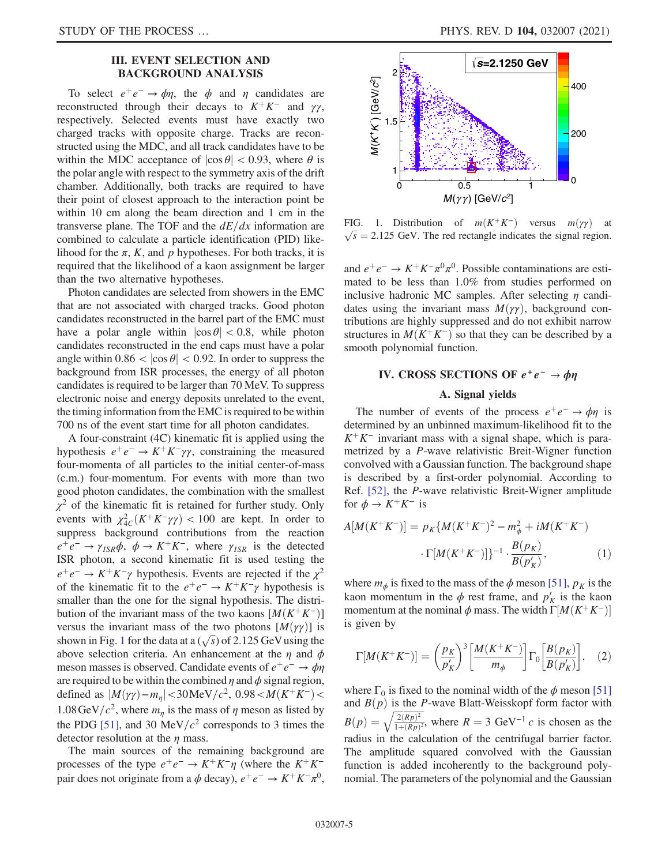# III. EVENT SELECTION AND BACKGROUND ANALYSIS

To select  $e^+e^- \rightarrow \phi \eta$ , the  $\phi$  and  $\eta$  candidates are reconstructed through their decays to  $K^+K^-$  and  $\gamma\gamma$ , respectively. Selected events must have exactly two charged tracks with opposite charge. Tracks are reconstructed using the MDC, and all track candidates have to be within the MDC acceptance of  $|\cos \theta|$  < 0.93, where  $\theta$  is the polar angle with respect to the symmetry axis of the drift chamber. Additionally, both tracks are required to have their point of closest approach to the interaction point be within 10 cm along the beam direction and 1 cm in the transverse plane. The TOF and the  $dE/dx$  information are combined to calculate a particle identification (PID) likelihood for the  $\pi$ , K, and p hypotheses. For both tracks, it is required that the likelihood of a kaon assignment be larger than the two alternative hypotheses.

Photon candidates are selected from showers in the EMC that are not associated with charged tracks. Good photon candidates reconstructed in the barrel part of the EMC must have a polar angle within  $|\cos \theta| < 0.8$ , while photon candidates reconstructed in the end caps must have a polar angle within  $0.86 < |\cos \theta| < 0.92$ . In order to suppress the background from ISR processes, the energy of all photon candidates is required to be larger than 70 MeV. To suppress electronic noise and energy deposits unrelated to the event, the timing information from the EMC is required to be within 700 ns of the event start time for all photon candidates.

A four-constraint (4C) kinematic fit is applied using the hypothesis  $e^+e^- \rightarrow K^+K^-\gamma\gamma$ , constraining the measured four-momenta of all particles to the initial center-of-mass (c.m.) four-momentum. For events with more than two good photon candidates, the combination with the smallest  $\chi^2$  of the kinematic fit is retained for further study. Only events with  $\chi^2_{4C}(K^+K^-\gamma\gamma) < 100$  are kept. In order to suppress background contributions from the reaction suppress background contributions from the reaction  $e^+e^- \rightarrow \gamma_{ISR}\phi$ ,  $\phi \rightarrow K^+K^-$ , where  $\gamma_{ISR}$  is the detected ISR photon, a second kinematic fit is used testing the  $e^+e^- \rightarrow K^+K^-\gamma$  hypothesis. Events are rejected if the  $\chi^2$ of the kinematic fit to the  $e^+e^- \rightarrow K^+K^-\gamma$  hypothesis is smaller than the one for the signal hypothesis. The distribution of the invariant mass of the two kaons  $[M(K^+K^-)]$ versus the invariant mass of the two photons  $[M(\gamma\gamma)]$  is shown in Fig. [1](#page-4-0) for the data at a  $(\sqrt{s})$  of 2.125 GeV using the above selection criteria. An enhancement at the  $\eta$  and  $\phi$ meson masses is observed. Candidate events of  $e^+e^- \rightarrow \phi\eta$ are required to be within the combined  $\eta$  and  $\phi$  signal region, defined as  $|M(\gamma\gamma) - m_n| < 30 \,\text{MeV}/c^2$ , 0.98 <  $M(K^+K^-)$  < 1.08 GeV/ $c^2$ , where  $m_n$  is the mass of  $\eta$  meson as listed by the PDG [\[51\]](#page-10-23), and 30 MeV/ $c<sup>2</sup>$  corresponds to 3 times the detector resolution at the  $\eta$  mass.

The main sources of the remaining background are processes of the type  $e^+e^- \rightarrow K^+K^-\eta$  (where the  $K^+K^$ pair does not originate from a  $\phi$  decay),  $e^+e^- \rightarrow K^+K^-\pi^0$ ,

<span id="page-4-0"></span>

FIG. 1. Distribution of  $m(K^+K^-)$  versus  $m(\gamma\gamma)$  at  $\sqrt{s}$  = 2.125 GeV. The red rectangle indicates the signal region.

and  $e^+e^- \rightarrow K^+K^-\pi^0\pi^0$ . Possible contaminations are estimated to be less than 1.0% from studies performed on inclusive hadronic MC samples. After selecting  $\eta$  candidates using the invariant mass  $M(\gamma\gamma)$ , background contributions are highly suppressed and do not exhibit narrow structures in  $M(K^+K^-)$  so that they can be described by a smooth polynomial function.

# IV. CROSS SECTIONS OF  $e^+e^- \rightarrow \phi\eta$

#### A. Signal yields

The number of events of the process  $e^+e^- \rightarrow \phi \eta$  is determined by an unbinned maximum-likelihood fit to the  $K^+K^-$  invariant mass with a signal shape, which is parametrized by a P-wave relativistic Breit-Wigner function convolved with a Gaussian function. The background shape is described by a first-order polynomial. According to Ref. [\[52\],](#page-10-24) the P-wave relativistic Breit-Wigner amplitude for  $\phi \to K^+K^-$  is

$$
A[M(K^+K^-)] = p_K\{M(K^+K^-)^2 - m_\phi^2 + iM(K^+K^-) \cdot \Gamma[M(K^+K^-)]\}^{-1} \cdot \frac{B(p_K)}{B(p_K')},\tag{1}
$$

where  $m_{\phi}$  is fixed to the mass of the  $\phi$  meson [\[51\],](#page-10-23)  $p_K$  is the kaon momentum in the  $\phi$  rest frame, and  $p'_K$  is the kaon momentum at the nominal  $\phi$  mass. The width  $\Gamma[M(K^+K^-)]$ is given by

$$
\Gamma[M(K^+K^-)] = \left(\frac{p_K}{p_K'}\right)^3 \left[\frac{M(K^+K^-)}{m_\phi}\right] \Gamma_0 \left[\frac{B(p_K)}{B(p_K')}\right], \quad (2)
$$

where  $\Gamma_0$  is fixed to the nominal width of the  $\phi$  meson [\[51\]](#page-10-23) and  $B(p)$  is the P-wave Blatt-Weisskopf form factor with  $B(p) = \sqrt{\frac{2(Rp)^2}{1 + (Rp)^2}}$  $\frac{1 + (Rp)^2}{\sigma^2}$  $\sqrt{\frac{2(Rp)^2}{1+(Rp)^2}}$ , where  $R = 3 \text{ GeV}^{-1} c$  is chosen as the radius in the calculation of the centrifugal barrier factor. The amplitude squared convolved with the Gaussian function is added incoherently to the background polynomial. The parameters of the polynomial and the Gaussian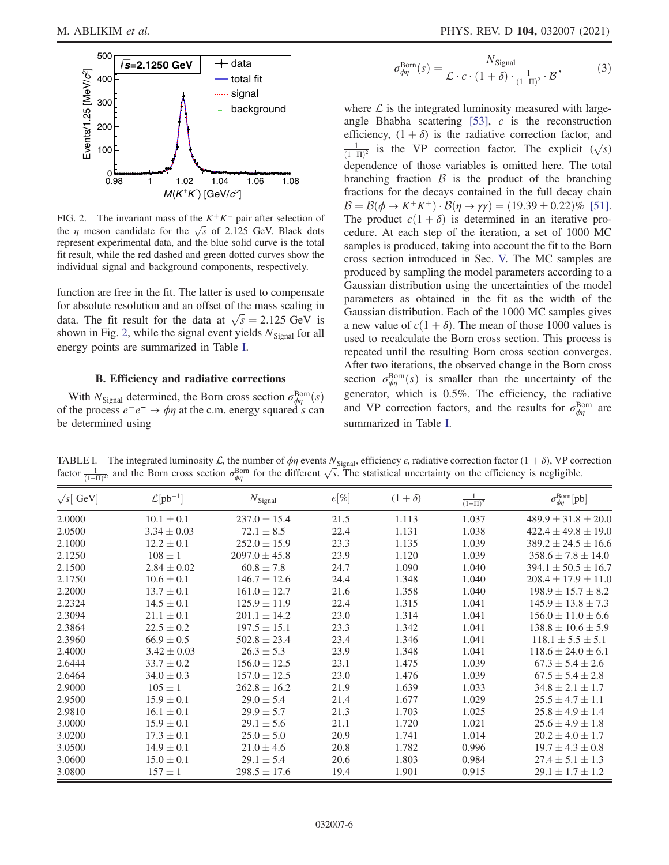<span id="page-5-0"></span>

FIG. 2. The invariant mass of the  $K^+K^-$  pair after selection of the  $\eta$  meson candidate for the  $\sqrt{s}$  of 2.125 GeV. Black dots represent experimental data, and the blue solid curve is the total fit result, while the red dashed and green dotted curves show the individual signal and background components, respectively.

function are free in the fit. The latter is used to compensate for absolute resolution and an offset of the mass scaling in data. The fit result for the data at  $\sqrt{s} = 2.125$  GeV is<br>shown in Fig. 2, while the signal event yields  $N_{\text{ext}}$ , for all shown in Fig. [2,](#page-5-0) while the signal event yields  $N_{Signal}$  for all energy points are summarized in Table [I](#page-5-1).

## B. Efficiency and radiative corrections

With  $N_{\text{Signal}}$  determined, the Born cross section  $\sigma_{\phi\eta}^{\text{Born}}(s)$ <br>the process  $e^+e^- \to \phi\eta$  at the c m energy squared s can of the process  $e^+e^- \rightarrow \phi \eta$  at the c.m. energy squared s can be determined using

$$
\sigma_{\phi\eta}^{\text{Born}}(s) = \frac{N_{\text{Signal}}}{\mathcal{L} \cdot \epsilon \cdot (1+\delta) \cdot \frac{1}{(1-\Pi)^2} \cdot \mathcal{B}},\tag{3}
$$

where  $\mathcal L$  is the integrated luminosity measured with large-angle Bhabha scattering [\[53\]](#page-10-25),  $\epsilon$  is the reconstruction efficiency,  $(1 + \delta)$  is the radiative correction factor, and  $\frac{1}{(1-\Pi)^2}$  is the VP correction factor. The explicit  $(\sqrt{s})$ dependence of those variables is omitted here. The total branching fraction  $\beta$  is the product of the branching fractions for the decays contained in the full decay chain  $\mathcal{B} = \mathcal{B}(\phi \to K^+K^+) \cdot \mathcal{B}(\eta \to \gamma \gamma) = (19.39 \pm 0.22)\%$  [\[51\]](#page-10-23).<br>The product  $\varepsilon(1+\delta)$  is determined in an iterative pro-The product  $\epsilon(1 + \delta)$  is determined in an iterative procedure. At each step of the iteration, a set of 1000 MC samples is produced, taking into account the fit to the Born cross section introduced in Sec. [V.](#page-6-0) The MC samples are produced by sampling the model parameters according to a Gaussian distribution using the uncertainties of the model parameters as obtained in the fit as the width of the Gaussian distribution. Each of the 1000 MC samples gives a new value of  $\epsilon(1 + \delta)$ . The mean of those 1000 values is used to recalculate the Born cross section. This process is repeated until the resulting Born cross section converges. After two iterations, the observed change in the Born cross section  $\sigma_{\phi\eta}^{\text{Born}}(s)$  is smaller than the uncertainty of the concreter which is 0.5%. The efficiency the redictive generator, which is 0.5%. The efficiency, the radiative and VP correction factors, and the results for  $\sigma_{\phi\eta}^{\text{Born}}$  are summarized in Table [I.](#page-5-1)

<span id="page-5-1"></span>TABLE I. The integrated luminosity  $\mathcal{L}$ , the number of  $\phi\eta$  events  $N_{\text{Signal}}$ , efficiency  $\epsilon$ , radiative correction factor  $(1 + \delta)$ , VP correction factor  $\frac{1}{(1-\Pi)^2}$ , and the Born cross section  $\sigma_{\phi\eta}^{\text{Born}}$  for the different  $\sqrt{s}$ . The statistical uncertainty on the efficiency is negligible.

| $\sqrt{s}$ GeV | $\mathcal{L}[{\rm pb}^{-1}]$ | $N_{\rm Signal}$  | $\epsilon$ [%] | $(1+\delta)$ | $(1-\Pi)^2$ | $\sigma_{\phi\eta}^{\rm Born}[{\rm pb}]$ |
|----------------|------------------------------|-------------------|----------------|--------------|-------------|------------------------------------------|
| 2.0000         | $10.1 \pm 0.1$               | $237.0 \pm 15.4$  | 21.5           | 1.113        | 1.037       | $489.9 \pm 31.8 \pm 20.0$                |
| 2.0500         | $3.34 \pm 0.03$              | $72.1 \pm 8.5$    | 22.4           | 1.131        | 1.038       | $422.4 \pm 49.8 \pm 19.0$                |
| 2.1000         | $12.2 \pm 0.1$               | $252.0 \pm 15.9$  | 23.3           | 1.135        | 1.039       | $389.2 \pm 24.5 \pm 16.6$                |
| 2.1250         | $108\pm1$                    | $2097.0 \pm 45.8$ | 23.9           | 1.120        | 1.039       | $358.6 \pm 7.8 \pm 14.0$                 |
| 2.1500         | $2.84 \pm 0.02$              | $60.8 \pm 7.8$    | 24.7           | 1.090        | 1.040       | $394.1 \pm 50.5 \pm 16.7$                |
| 2.1750         | $10.6 \pm 0.1$               | $146.7 \pm 12.6$  | 24.4           | 1.348        | 1.040       | $208.4 \pm 17.9 \pm 11.0$                |
| 2.2000         | $13.7 \pm 0.1$               | $161.0 \pm 12.7$  | 21.6           | 1.358        | 1.040       | $198.9 \pm 15.7 \pm 8.2$                 |
| 2.2324         | $14.5 \pm 0.1$               | $125.9 \pm 11.9$  | 22.4           | 1.315        | 1.041       | $145.9 \pm 13.8 \pm 7.3$                 |
| 2.3094         | $21.1 \pm 0.1$               | $201.1 \pm 14.2$  | 23.0           | 1.314        | 1.041       | $156.0 \pm 11.0 \pm 6.6$                 |
| 2.3864         | $22.5 \pm 0.2$               | $197.5 \pm 15.1$  | 23.3           | 1.342        | 1.041       | $138.8 \pm 10.6 \pm 5.9$                 |
| 2.3960         | $66.9 \pm 0.5$               | $502.8 \pm 23.4$  | 23.4           | 1.346        | 1.041       | $118.1 \pm 5.5 \pm 5.1$                  |
| 2.4000         | $3.42 \pm 0.03$              | $26.3 \pm 5.3$    | 23.9           | 1.348        | 1.041       | $118.6 \pm 24.0 \pm 6.1$                 |
| 2.6444         | $33.7 \pm 0.2$               | $156.0 \pm 12.5$  | 23.1           | 1.475        | 1.039       | $67.3 + 5.4 + 2.6$                       |
| 2.6464         | $34.0 \pm 0.3$               | $157.0 \pm 12.5$  | 23.0           | 1.476        | 1.039       | $67.5 \pm 5.4 \pm 2.8$                   |
| 2.9000         | $105 \pm 1$                  | $262.8 \pm 16.2$  | 21.9           | 1.639        | 1.033       | $34.8 \pm 2.1 \pm 1.7$                   |
| 2.9500         | $15.9 \pm 0.1$               | $29.0 \pm 5.4$    | 21.4           | 1.677        | 1.029       | $25.5 \pm 4.7 \pm 1.1$                   |
| 2.9810         | $16.1 \pm 0.1$               | $29.9 \pm 5.7$    | 21.3           | 1.703        | 1.025       | $25.8 \pm 4.9 \pm 1.4$                   |
| 3.0000         | $15.9 \pm 0.1$               | $29.1 \pm 5.6$    | 21.1           | 1.720        | 1.021       | $25.6 \pm 4.9 \pm 1.8$                   |
| 3.0200         | $17.3 \pm 0.1$               | $25.0 \pm 5.0$    | 20.9           | 1.741        | 1.014       | $20.2 \pm 4.0 \pm 1.7$                   |
| 3.0500         | $14.9 \pm 0.1$               | $21.0 \pm 4.6$    | 20.8           | 1.782        | 0.996       | $19.7 \pm 4.3 \pm 0.8$                   |
| 3.0600         | $15.0 \pm 0.1$               | $29.1 \pm 5.4$    | 20.6           | 1.803        | 0.984       | $27.4 \pm 5.1 \pm 1.3$                   |
| 3.0800         | $157 \pm 1$                  | $298.5 \pm 17.6$  | 19.4           | 1.901        | 0.915       | $29.1 \pm 1.7 \pm 1.2$                   |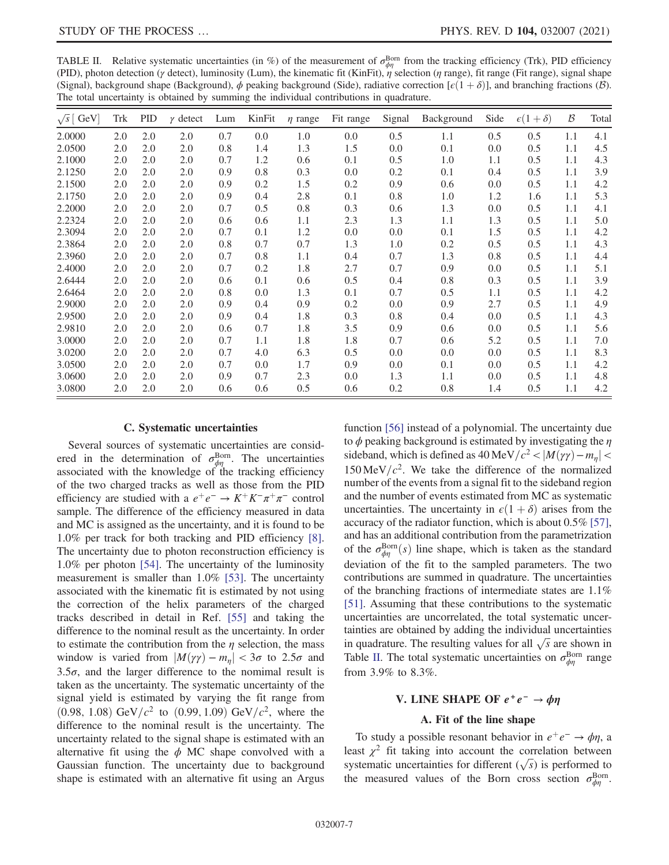<span id="page-6-1"></span>TABLE II. Relative systematic uncertainties (in %) of the measurement of  $\sigma_{\phi\eta}^{\text{Born}}$  from the tracking efficiency (Trk), PID efficiency (PID), photon detection ( $\gamma$  detect), luminosity (Lum), the kinematic fit (KinFit),  $\eta$  selection ( $\eta$  range), fit range (Fit range), signal shape (Signal), background shape (Background),  $\phi$  peaking background (Side), radiative correction [ $\epsilon(1+\delta)$ ], and branching fractions (B). The total uncertainty is obtained by summing the individual contributions in quadrature.

| $\sqrt{s}$ [ GeV] | Trk | <b>PID</b> | $\gamma$ detect | Lum | KinFit | $\eta$ range | Fit range | Signal | Background | Side | $\epsilon(1+\delta)$ | $\mathcal{B}$ | Total |
|-------------------|-----|------------|-----------------|-----|--------|--------------|-----------|--------|------------|------|----------------------|---------------|-------|
| 2.0000            | 2.0 | 2.0        | 2.0             | 0.7 | 0.0    | 1.0          | 0.0       | 0.5    | 1.1        | 0.5  | 0.5                  | 1.1           | 4.1   |
| 2.0500            | 2.0 | 2.0        | 2.0             | 0.8 | 1.4    | 1.3          | 1.5       | 0.0    | 0.1        | 0.0  | 0.5                  | 1.1           | 4.5   |
| 2.1000            | 2.0 | 2.0        | 2.0             | 0.7 | 1.2    | 0.6          | 0.1       | 0.5    | 1.0        | 1.1  | 0.5                  | 1.1           | 4.3   |
| 2.1250            | 2.0 | 2.0        | 2.0             | 0.9 | 0.8    | 0.3          | 0.0       | 0.2    | 0.1        | 0.4  | 0.5                  | 1.1           | 3.9   |
| 2.1500            | 2.0 | 2.0        | 2.0             | 0.9 | 0.2    | 1.5          | 0.2       | 0.9    | 0.6        | 0.0  | 0.5                  | 1.1           | 4.2   |
| 2.1750            | 2.0 | 2.0        | 2.0             | 0.9 | 0.4    | 2.8          | 0.1       | 0.8    | 1.0        | 1.2  | 1.6                  | 1.1           | 5.3   |
| 2.2000            | 2.0 | 2.0        | 2.0             | 0.7 | 0.5    | 0.8          | 0.3       | 0.6    | 1.3        | 0.0  | 0.5                  | 1.1           | 4.1   |
| 2.2324            | 2.0 | 2.0        | 2.0             | 0.6 | 0.6    | 1.1          | 2.3       | 1.3    | 1.1        | 1.3  | 0.5                  | 1.1           | 5.0   |
| 2.3094            | 2.0 | 2.0        | 2.0             | 0.7 | 0.1    | 1.2          | 0.0       | 0.0    | 0.1        | 1.5  | 0.5                  | 1.1           | 4.2   |
| 2.3864            | 2.0 | 2.0        | 2.0             | 0.8 | 0.7    | 0.7          | 1.3       | 1.0    | 0.2        | 0.5  | 0.5                  | 1.1           | 4.3   |
| 2.3960            | 2.0 | 2.0        | 2.0             | 0.7 | 0.8    | 1.1          | 0.4       | 0.7    | 1.3        | 0.8  | 0.5                  | 1.1           | 4.4   |
| 2.4000            | 2.0 | 2.0        | 2.0             | 0.7 | 0.2    | 1.8          | 2.7       | 0.7    | 0.9        | 0.0  | 0.5                  | 1.1           | 5.1   |
| 2.6444            | 2.0 | 2.0        | 2.0             | 0.6 | 0.1    | 0.6          | 0.5       | 0.4    | 0.8        | 0.3  | 0.5                  | 1.1           | 3.9   |
| 2.6464            | 2.0 | 2.0        | 2.0             | 0.8 | 0.0    | 1.3          | 0.1       | 0.7    | 0.5        | 1.1  | 0.5                  | 1.1           | 4.2   |
| 2.9000            | 2.0 | 2.0        | 2.0             | 0.9 | 0.4    | 0.9          | 0.2       | 0.0    | 0.9        | 2.7  | 0.5                  | 1.1           | 4.9   |
| 2.9500            | 2.0 | 2.0        | 2.0             | 0.9 | 0.4    | 1.8          | 0.3       | 0.8    | 0.4        | 0.0  | 0.5                  | 1.1           | 4.3   |
| 2.9810            | 2.0 | 2.0        | 2.0             | 0.6 | 0.7    | 1.8          | 3.5       | 0.9    | 0.6        | 0.0  | 0.5                  | 1.1           | 5.6   |
| 3.0000            | 2.0 | 2.0        | 2.0             | 0.7 | 1.1    | 1.8          | 1.8       | 0.7    | 0.6        | 5.2  | 0.5                  | 1.1           | 7.0   |
| 3.0200            | 2.0 | 2.0        | 2.0             | 0.7 | 4.0    | 6.3          | 0.5       | 0.0    | 0.0        | 0.0  | 0.5                  | 1.1           | 8.3   |
| 3.0500            | 2.0 | 2.0        | 2.0             | 0.7 | 0.0    | 1.7          | 0.9       | 0.0    | 0.1        | 0.0  | 0.5                  | 1.1           | 4.2   |
| 3.0600            | 2.0 | 2.0        | 2.0             | 0.9 | 0.7    | 2.3          | 0.0       | 1.3    | 1.1        | 0.0  | 0.5                  | 1.1           | 4.8   |
| 3.0800            | 2.0 | 2.0        | 2.0             | 0.6 | 0.6    | 0.5          | 0.6       | 0.2    | 0.8        | 1.4  | 0.5                  | 1.1           | 4.2   |

## C. Systematic uncertainties

Several sources of systematic uncertainties are considered in the determination of  $\sigma_{\phi\eta}^{\rm Born}$ . The uncertainties associated with the knowledge of the tracking efficiency of the two charged tracks as well as those from the PID efficiency are studied with a  $e^+e^- \rightarrow K^+K^-\pi^+\pi^-$  control sample. The difference of the efficiency measured in data and MC is assigned as the uncertainty, and it is found to be 1.0% per track for both tracking and PID efficiency [\[8\]](#page-10-13). The uncertainty due to photon reconstruction efficiency is 1.0% per photon [\[54\].](#page-10-26) The uncertainty of the luminosity measurement is smaller than 1.0% [\[53\].](#page-10-25) The uncertainty associated with the kinematic fit is estimated by not using the correction of the helix parameters of the charged tracks described in detail in Ref. [\[55\]](#page-10-27) and taking the difference to the nominal result as the uncertainty. In order to estimate the contribution from the  $\eta$  selection, the mass window is varied from  $|M(\gamma\gamma) - m_n| < 3\sigma$  to 2.5 $\sigma$  and 3.5 $\sigma$ , and the larger difference to the nomimal result is taken as the uncertainty. The systematic uncertainty of the signal yield is estimated by varying the fit range from  $(0.98, 1.08)$  GeV/ $c^2$  to  $(0.99, 1.09)$  GeV/ $c^2$ , where the difference to the nominal result is the uncertainty. The uncertainty related to the signal shape is estimated with an alternative fit using the  $\phi$  MC shape convolved with a Gaussian function. The uncertainty due to background shape is estimated with an alternative fit using an Argus function [\[56\]](#page-10-28) instead of a polynomial. The uncertainty due to  $\phi$  peaking background is estimated by investigating the  $\eta$ sideband, which is defined as  $40 \text{ MeV}/c^2 < |M(\gamma\gamma)-m_n|$  $150 \,\text{MeV}/c^2$ . We take the difference of the normalized number of the events from a signal fit to the sideband region and the number of events estimated from MC as systematic uncertainties. The uncertainty in  $\epsilon(1 + \delta)$  arises from the accuracy of the radiator function, which is about 0.5% [\[57\]](#page-10-29), and has an additional contribution from the parametrization of the  $\sigma_{\phi\eta}^{\text{Born}}(s)$  line shape, which is taken as the standard dovision of the fit to the sampled perspectors. The two deviation of the fit to the sampled parameters. The two contributions are summed in quadrature. The uncertainties of the branching fractions of intermediate states are 1.1% [\[51\]](#page-10-23). Assuming that these contributions to the systematic uncertainties are uncorrelated, the total systematic uncertainties are obtained by adding the individual uncertainties in quadrature. The resulting values for all  $\sqrt{s}$  are shown in Table [II](#page-6-1). The total systematic uncertainties on  $\sigma_{\phi\eta}^{\text{Born}}$  range from 3.9% to 8.3%.

# V. LINE SHAPE OF  $e^+e^- \rightarrow \phi\eta$

## A. Fit of the line shape

<span id="page-6-0"></span>To study a possible resonant behavior in  $e^+e^- \rightarrow \phi \eta$ , a least  $\chi^2$  fit taking into account the correlation between systematic uncertainties for different  $(\sqrt{s})$  is performed to the measured values of the Born cross section  $\sigma_{\phi\eta}^{\text{Born}}$ .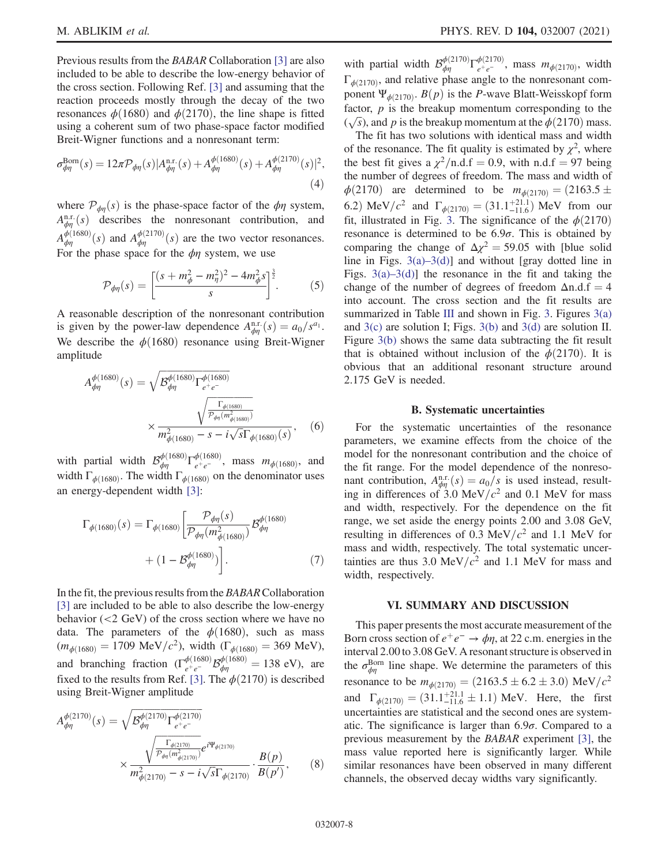Previous results from the BABAR Collaboration [\[3\]](#page-9-2) are also included to be able to describe the low-energy behavior of the cross section. Following Ref. [\[3\]](#page-9-2) and assuming that the reaction proceeds mostly through the decay of the two resonances  $\phi(1680)$  and  $\phi(2170)$ , the line shape is fitted using a coherent sum of two phase-space factor modified Breit-Wigner functions and a nonresonant term:

$$
\sigma_{\phi\eta}^{\text{Born}}(s) = 12\pi \mathcal{P}_{\phi\eta}(s) |A_{\phi\eta}^{\text{n.r.}}(s) + A_{\phi\eta}^{\phi(1680)}(s) + A_{\phi\eta}^{\phi(2170)}(s)|^2,
$$
\n(4)

where  $\mathcal{P}_{\phi n}(s)$  is the phase-space factor of the  $\phi \eta$  system,  $A_{\phi\eta}^{\text{n.r.}}(s)$  describes the nonresonant contribution, and  $A_{\phi\eta}^{\phi(1680)}(s)$  and  $A_{\phi\eta}^{\phi(2170)}(s)$  are the two vector resonances. For the phase space for the  $\phi$ η system, we use

$$
\mathcal{P}_{\phi\eta}(s) = \left[ \frac{(s + m_{\phi}^2 - m_{\eta}^2)^2 - 4m_{\phi}^2 s}{s} \right]^{\frac{3}{2}}.
$$
 (5)

A reasonable description of the nonresonant contribution is given by the power-law dependence  $A_{\phi\eta}^{\text{n.r.}}(s) = a_0/s^{a_1}$ . We describe the  $\phi(1680)$  resonance using Breit-Wigner amplitude

$$
A_{\phi\eta}^{\phi(1680)}(s) = \sqrt{\mathcal{B}_{\phi\eta}^{\phi(1680)} \Gamma_{e^+e^-}^{\phi(1680)}}
$$

$$
\times \frac{\sqrt{\mathcal{P}_{\phi\eta}^{\phi(1680)}}}{m_{\phi(1680)}^2 - s - i\sqrt{s}\Gamma_{\phi(1680)}(s)}, \quad (6)
$$

with partial width  $\mathcal{B}_{\phi\eta}^{\phi(1680)}\Gamma_{e^+e^-}^{\phi(1680)}$ , mass  $m_{\phi(1680)}$ , and width  $\Gamma_{\phi(1680)}$ . The width  $\Gamma_{\phi(1680)}$  on the denominator uses an energy-dependent width [\[3\]:](#page-9-2)

$$
\Gamma_{\phi(1680)}(s) = \Gamma_{\phi(1680)} \left[ \frac{\mathcal{P}_{\phi\eta}(s)}{\mathcal{P}_{\phi\eta}(m_{\phi(1680)}^2)} \mathcal{B}_{\phi\eta}^{\phi(1680)} + (1 - \mathcal{B}_{\phi\eta}^{\phi(1680)}) \right].
$$
\n(7)

In the fit, the previous results from the BABARCollaboration [\[3\]](#page-9-2) are included to be able to also describe the low-energy behavior (<2 GeV) of the cross section where we have no data. The parameters of the  $\phi(1680)$ , such as mass  $(m_{\phi(1680)} = 1709 \text{ MeV}/c^2)$ , width  $(\Gamma_{\phi(1680)} = 369 \text{ MeV})$ , and branching fraction  $(\Gamma_{e^+e^-}^{\phi(1680)}\mathcal{B}_{\phi\eta}^{\phi(1680)} = 138 \text{ eV})$ , are<br>fixed to the results from Bef [3]. The  $\phi(2170)$  is described fixed to the results from Ref. [\[3\].](#page-9-2) The  $\phi$ (2170) is described using Breit-Wigner amplitude

$$
A_{\phi\eta}^{\phi(2170)}(s) = \sqrt{\mathcal{B}_{\phi\eta}^{\phi(2170)}} \Gamma_{e^+e^-}^{\phi(2170)}
$$

$$
\times \frac{\sqrt{\frac{\Gamma_{\phi(2170)}}{\mathcal{P}_{\phi\eta}(m_{\phi(2170)}})}}{m_{\phi(2170)}^2 - s - i\sqrt{s}\Gamma_{\phi(2170)}} \cdot \frac{B(p)}{B(p')},\tag{8}
$$

with partial width  $\mathcal{B}_{\phi\eta}^{\phi(2170)}\Gamma_{e^+e^-}^{\phi(2170)}$ , mass  $m_{\phi(2170)}$ , width  $\Gamma_{\phi(2170)}$ , and relative phase angle to the nonresonant component  $\Psi_{\phi(2170)}$ .  $B(p)$  is the P-wave Blatt-Weisskopf form factor,  $p$  is the breakup momentum corresponding to the  $(\sqrt{s})$ , and p is the breakup momentum at the  $\phi$ (2170) mass.<br>The fit has two solutions with identical mass and width

The fit has two solutions with identical mass and width of the resonance. The fit quality is estimated by  $\chi^2$ , where the best fit gives a  $\chi^2$ /n.d.f = 0.9, with n.d.f = 97 being the number of degrees of freedom. The mass and width of <sup>ϕ</sup>ð2170<sup>Þ</sup> are determined to be <sup>m</sup><sup>ϕ</sup>ð2170Þ ¼ ð2163.<sup>5</sup> -6.2) MeV/ $c^2$  and  $\Gamma_{\phi(2170)} = (31.1^{+21.1}_{-11.6})$  MeV from our fit, illustrated in Fig. [3](#page-8-0). The significance of the  $\phi(2170)$ resonance is determined to be  $6.9\sigma$ . This is obtained by comparing the change of  $\Delta \chi^2 = 59.05$  with [blue solid line in Figs.  $3(a) - 3(d)$ ] and without [gray dotted line in Figs.  $3(a) - 3(d)$ ] the resonance in the fit and taking the change of the number of degrees of freedom  $\Delta n.d.f = 4$ into account. The cross section and the fit results are summarized in Table [III](#page-9-3) and shown in Fig. [3](#page-8-0). Figures  $3(a)$ and [3\(c\)](#page-8-0) are solution I; Figs. [3\(b\)](#page-8-0) and [3\(d\)](#page-8-0) are solution II. Figure [3\(b\)](#page-8-0) shows the same data subtracting the fit result that is obtained without inclusion of the  $\phi(2170)$ . It is obvious that an additional resonant structure around 2.175 GeV is needed.

#### B. Systematic uncertainties

For the systematic uncertainties of the resonance parameters, we examine effects from the choice of the model for the nonresonant contribution and the choice of the fit range. For the model dependence of the nonresonant contribution,  $A_{\phi\eta}^{\text{n.r.}}(s) = a_0/s$  is used instead, result-<br>ing in differences of 3.0 MeV/ $c^2$  and 0.1 MeV for mass and width, respectively. For the dependence on the fit range, we set aside the energy points 2.00 and 3.08 GeV, resulting in differences of 0.3 MeV/ $c<sup>2</sup>$  and 1.1 MeV for mass and width, respectively. The total systematic uncertainties are thus 3.0 MeV/ $c<sup>2</sup>$  and 1.1 MeV for mass and width, respectively.

#### VI. SUMMARY AND DISCUSSION

This paper presents the most accurate measurement of the Born cross section of  $e^+e^- \rightarrow \phi \eta$ , at 22 c.m. energies in the interval 2.00 to 3.08 GeV. A resonant structure is observed in the  $\sigma_{\phi\eta}^{\text{Born}}$  line shape. We determine the parameters of this resonance to be  $m_{\phi(2170)} = (2163.5 \pm 6.2 \pm 3.0) \text{ MeV}/c^2$ and  $\Gamma_{\phi(2170)} = (31.1^{+21.1}_{-11.6} \pm 1.1)$  MeV. Here, the first uncertainties are statistical and the second ones are systematic. The significance is larger than  $6.9\sigma$ . Compared to a previous measurement by the BABAR experiment [\[3\]](#page-9-2), the mass value reported here is significantly larger. While similar resonances have been observed in many different channels, the observed decay widths vary significantly.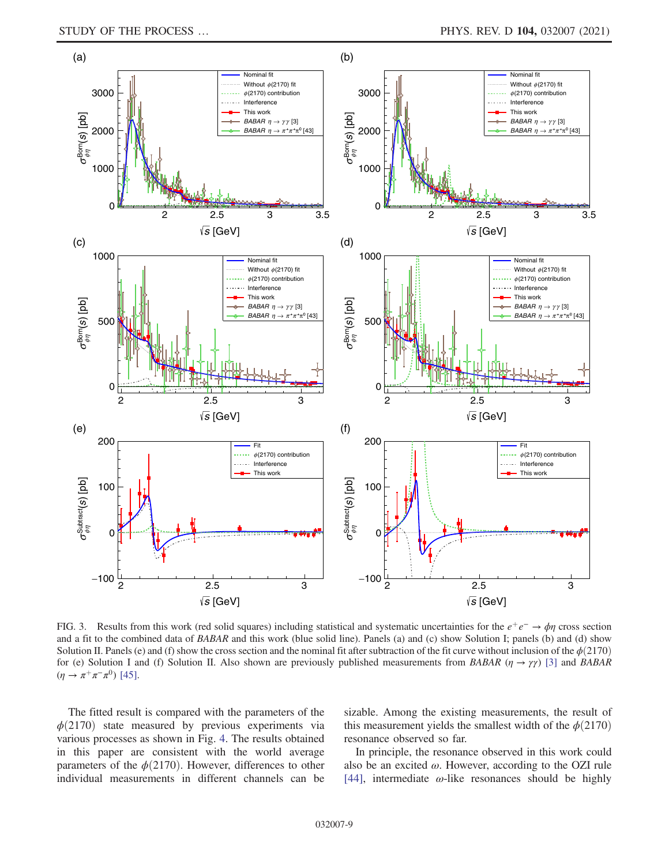<span id="page-8-0"></span>

FIG. 3. Results from this work (red solid squares) including statistical and systematic uncertainties for the  $e^+e^- \rightarrow \phi\eta$  cross section and a fit to the combined data of BABAR and this work (blue solid line). Panels (a) and (c) show Solution I; panels (b) and (d) show Solution II. Panels (e) and (f) show the cross section and the nominal fit after subtraction of the fit curve without inclusion of the  $\phi(2170)$ for (e) Solution I and (f) Solution II. Also shown are previously published measurements from BABAR ( $\eta \rightarrow \gamma \gamma$ ) [\[3\]](#page-9-2) and BABAR  $(\eta \to \pi^+ \pi^- \pi^0)$  [\[45\].](#page-10-12)

The fitted result is compared with the parameters of the  $\phi(2170)$  state measured by previous experiments via various processes as shown in Fig. [4](#page-9-4). The results obtained in this paper are consistent with the world average parameters of the  $\phi(2170)$ . However, differences to other individual measurements in different channels can be sizable. Among the existing measurements, the result of this measurement yields the smallest width of the  $\phi(2170)$ resonance observed so far.

In principle, the resonance observed in this work could also be an excited  $\omega$ . However, according to the OZI rule [\[44\]](#page-10-11), intermediate  $\omega$ -like resonances should be highly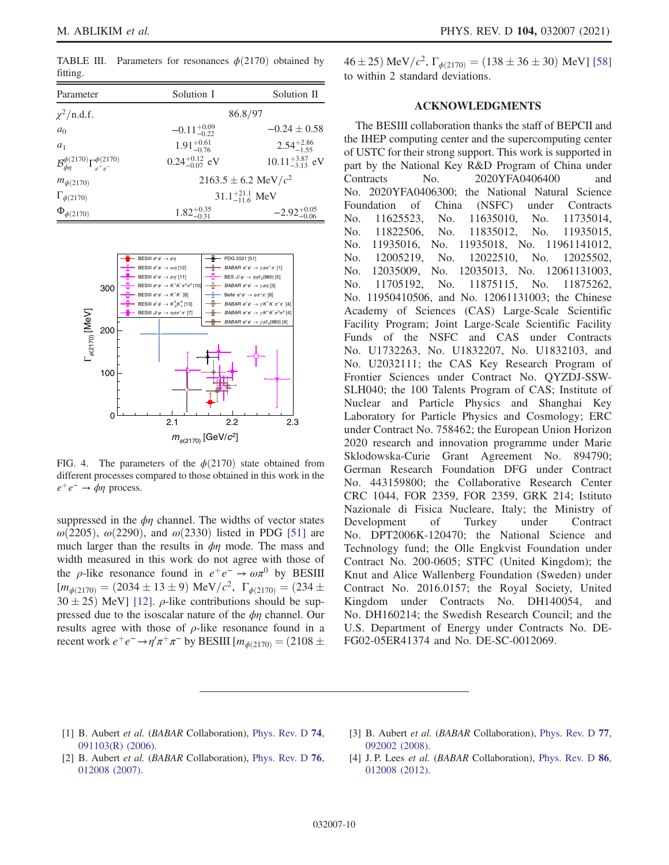<span id="page-9-3"></span>TABLE III. Parameters for resonances  $\phi(2170)$  obtained by fitting.

| Parameter                                                   | Solution I                  | Solution II                |  |  |  |  |
|-------------------------------------------------------------|-----------------------------|----------------------------|--|--|--|--|
| $\chi^2$ /n.d.f.                                            |                             | 86.8/97                    |  |  |  |  |
| a <sub>0</sub>                                              | $-0.11_{-0.22}^{+0.09}$     | $-0.24 \pm 0.58$           |  |  |  |  |
| a <sub>1</sub>                                              | $1.91_{-0.76}^{+0.61}$      | $2.54^{+2.86}_{-1.55}$     |  |  |  |  |
| $\mathcal{B}_{dn}^{\phi(2170)}\Gamma_{e^+e^-}^{\phi(2170)}$ | $0.24_{-0.07}^{+0.12}$ eV   | $10.11_{-3.13}^{+3.87}$ eV |  |  |  |  |
| $m_{\phi(2170)}$                                            | $2163.5 \pm 6.2$ MeV/ $c^2$ |                            |  |  |  |  |
| $\Gamma_{\phi(2170)}$                                       | $31.1_{-11.6}^{+21.1}$ MeV  |                            |  |  |  |  |
| $\Phi_{\phi(2170)}$                                         | $1.82_{-0.31}^{+0.35}$      | $-2.92^{+0.05}_{-0.06}$    |  |  |  |  |

<span id="page-9-4"></span>

FIG. 4. The parameters of the  $\phi(2170)$  state obtained from different processes compared to those obtained in this work in the  $e^+e^- \rightarrow \phi \eta$  process.

suppressed in the  $\phi\eta$  channel. The widths of vector states  $\omega$ (2205),  $\omega$ (2290), and  $\omega$ (2330) listed in PDG [\[51\]](#page-10-23) are much larger than the results in  $\phi\eta$  mode. The mass and width measured in this work do not agree with those of the  $\rho$ -like resonance found in  $e^+e^- \to \omega \pi^0$  by BESIII  $[m_{\phi(2170)} = (2034 \pm 13 \pm 9) \text{ MeV}/c^2, \Gamma_{\phi(2170)} = (234 \pm 30 \pm 25) \text{ MeV}$  $30 \pm 25$ ) MeV] [\[12\]](#page-10-16).  $\rho$ -like contributions should be sup-<br>pressed due to the isoscalar nature of the du channel. Our pressed due to the isoscalar nature of the  $\phi\eta$  channel. Our results agree with those of  $\rho$ -like resonance found in a recent work  $e^+e^- \rightarrow \eta' \pi^+ \pi^-$  by BESIII [ $m_{\phi(2170)} = (2108 \pm$ 

 $46 \pm 25$ ) MeV/ $c^2$ ,  $\Gamma_{\phi(2170)} = (138 \pm 36 \pm 30)$  MeV] [\[58\]](#page-10-30) to within 2 standard deviations.

## ACKNOWLEDGMENTS

The BESIII collaboration thanks the staff of BEPCII and the IHEP computing center and the supercomputing center of USTC for their strong support. This work is supported in part by the National Key R&D Program of China under Contracts No. 2020YFA0406400 and No. 2020YFA0406300; the National Natural Science Foundation of China (NSFC) under Contracts No. 11625523, No. 11635010, No. 11735014, No. 11822506, No. 11835012, No. 11935015, No. 11935016, No. 11935018, No. 11961141012, No. 12005219, No. 12022510, No. 12025502, No. 12035009, No. 12035013, No. 12061131003, No. 11705192, No. 11875115, No. 11875262, No. 11950410506, and No. 12061131003; the Chinese Academy of Sciences (CAS) Large-Scale Scientific Facility Program; Joint Large-Scale Scientific Facility Funds of the NSFC and CAS under Contracts No. U1732263, No. U1832207, No. U1832103, and No. U2032111; the CAS Key Research Program of Frontier Sciences under Contract No. QYZDJ-SSW-SLH040; the 100 Talents Program of CAS; Institute of Nuclear and Particle Physics and Shanghai Key Laboratory for Particle Physics and Cosmology; ERC under Contract No. 758462; the European Union Horizon 2020 research and innovation programme under Marie Sklodowska-Curie Grant Agreement No. 894790; German Research Foundation DFG under Contract No. 443159800; the Collaborative Research Center CRC 1044, FOR 2359, FOR 2359, GRK 214; Istituto Nazionale di Fisica Nucleare, Italy; the Ministry of Development of Turkey under Contract No. DPT2006K-120470; the National Science and Technology fund; the Olle Engkvist Foundation under Contract No. 200-0605; STFC (United Kingdom); the Knut and Alice Wallenberg Foundation (Sweden) under Contract No. 2016.0157; the Royal Society, United Kingdom under Contracts No. DH140054, and No. DH160214; the Swedish Research Council; and the U.S. Department of Energy under Contracts No. DE-FG02-05ER41374 and No. DE-SC-0012069.

- <span id="page-9-0"></span>[1] B. Aubert et al. (BABAR Collaboration), [Phys. Rev. D](https://doi.org/10.1103/PhysRevD.74.091103) 74, [091103\(R\) \(2006\)](https://doi.org/10.1103/PhysRevD.74.091103).
- <span id="page-9-2"></span>[3] B. Aubert et al. (BABAR Collaboration), [Phys. Rev. D](https://doi.org/10.1103/PhysRevD.77.092002) 77, [092002 \(2008\).](https://doi.org/10.1103/PhysRevD.77.092002)
- <span id="page-9-1"></span>[2] B. Aubert et al. (BABAR Collaboration), [Phys. Rev. D](https://doi.org/10.1103/PhysRevD.76.012008) 76, [012008 \(2007\).](https://doi.org/10.1103/PhysRevD.76.012008)
- [4] J. P. Lees et al. (BABAR Collaboration), [Phys. Rev. D](https://doi.org/10.1103/PhysRevD.86.012008) 86, [012008 \(2012\).](https://doi.org/10.1103/PhysRevD.86.012008)